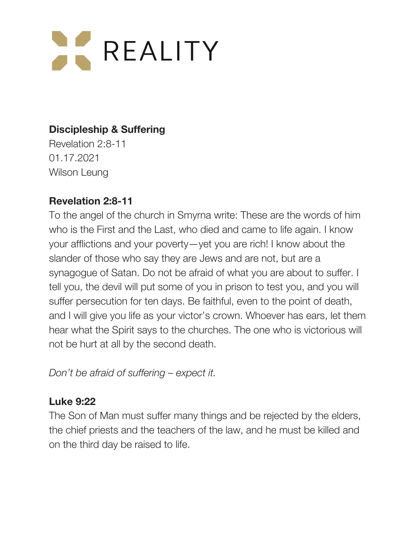# **AL REALITY**

# **Discipleship & Suffering**

Revelation 2:8-11 01.17.2021 Wilson Leung

## **Revelation 2:8-11**

To the angel of the church in Smyrna write: These are the words of him who is the First and the Last, who died and came to life again. I know your afflictions and your poverty—yet you are rich! I know about the slander of those who say they are Jews and are not, but are a synagogue of Satan. Do not be afraid of what you are about to suffer. I tell you, the devil will put some of you in prison to test you, and you will suffer persecution for ten days. Be faithful, even to the point of death, and I will give you life as your victor's crown. Whoever has ears, let them hear what the Spirit says to the churches. The one who is victorious will not be hurt at all by the second death.

*Don't be afraid of suffering – expect it.*

## **Luke 9:22**

The Son of Man must suffer many things and be rejected by the elders, the chief priests and the teachers of the law, and he must be killed and on the third day be raised to life.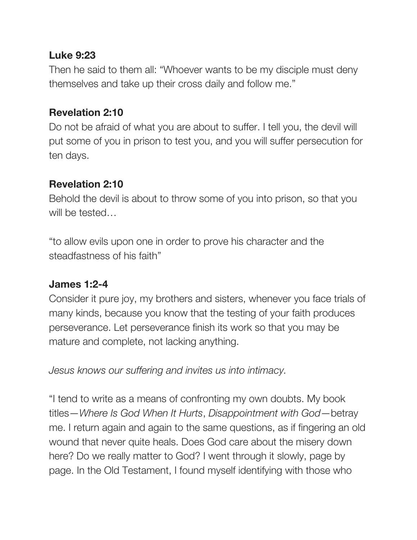#### **Luke 9:23**

Then he said to them all: "Whoever wants to be my disciple must deny themselves and take up their cross daily and follow me."

## **Revelation 2:10**

Do not be afraid of what you are about to suffer. I tell you, the devil will put some of you in prison to test you, and you will suffer persecution for ten days.

# **Revelation 2:10**

Behold the devil is about to throw some of you into prison, so that you will be tested…

"to allow evils upon one in order to prove his character and the steadfastness of his faith"

## **James 1:2-4**

Consider it pure joy, my brothers and sisters, whenever you face trials of many kinds, because you know that the testing of your faith produces perseverance. Let perseverance finish its work so that you may be mature and complete, not lacking anything.

*Jesus knows our suffering and invites us into intimacy.*

"I tend to write as a means of confronting my own doubts. My book titles—*Where Is God When It Hurts*, *Disappointment with God*—betray me. I return again and again to the same questions, as if fingering an old wound that never quite heals. Does God care about the misery down here? Do we really matter to God? I went through it slowly, page by page. In the Old Testament, I found myself identifying with those who